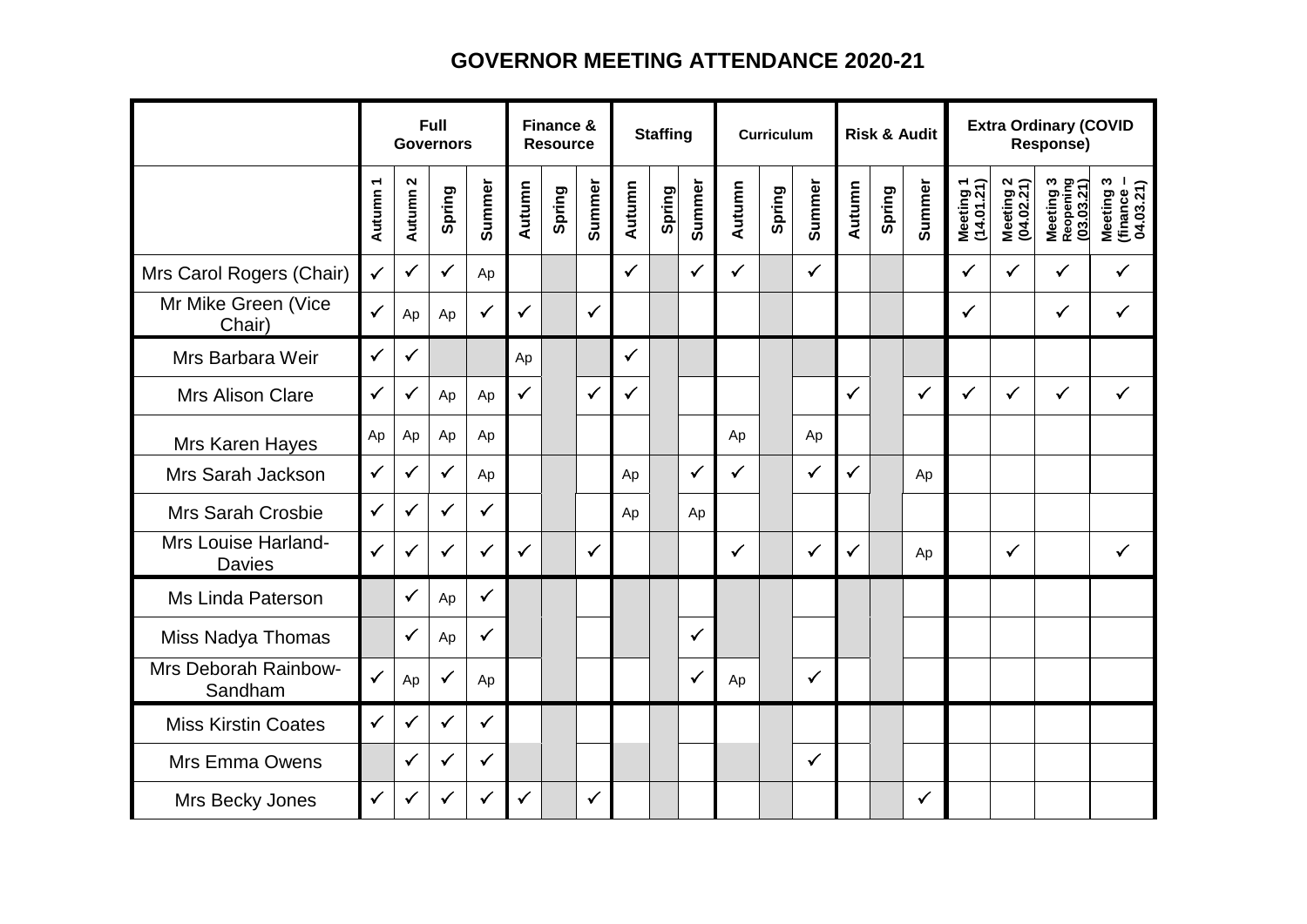## **GOVERNOR MEETING ATTENDANCE 2020-21**

|                                      |              |                                 | Full<br><b>Governors</b> |              | Finance &<br><b>Resource</b> |        |              | <b>Staffing</b> |        |              | <b>Curriculum</b> |        |              |              |        | <b>Risk &amp; Audit</b> | <b>Extra Ordinary (COVID</b><br>Response) |                         |                                      |                                      |
|--------------------------------------|--------------|---------------------------------|--------------------------|--------------|------------------------------|--------|--------------|-----------------|--------|--------------|-------------------|--------|--------------|--------------|--------|-------------------------|-------------------------------------------|-------------------------|--------------------------------------|--------------------------------------|
|                                      | Autumn 1     | $\boldsymbol{\sim}$<br>Autumn 2 | Spring                   | Summer       | Autumn                       | Spring | Summer       | Autumn          | Spring | Summer       | Autumn            | Spring | Summer       | Autumn       | Spring | Summer                  | Meeting 1<br>(14.01.21)                   | Meeting 2<br>(04.02.21) | Meeting 3<br>Reopening<br>(03.03.21) | Meeting 3<br>(finance –<br>04.03.21) |
| Mrs Carol Rogers (Chair)             | $\checkmark$ | $\checkmark$                    | $\checkmark$             | Ap           |                              |        |              | ✓               |        | $\checkmark$ | $\checkmark$      |        | $\checkmark$ |              |        |                         | $\checkmark$                              | $\checkmark$            | $\checkmark$                         | ✓                                    |
| Mr Mike Green (Vice<br>Chair)        | $\checkmark$ | Ap                              | Ap                       | $\checkmark$ | $\checkmark$                 |        | $\checkmark$ |                 |        |              |                   |        |              |              |        |                         | $\checkmark$                              |                         | $\checkmark$                         | $\checkmark$                         |
| Mrs Barbara Weir                     | $\checkmark$ | $\checkmark$                    |                          |              | Ap                           |        |              | ✓               |        |              |                   |        |              |              |        |                         |                                           |                         |                                      |                                      |
| <b>Mrs Alison Clare</b>              | $\checkmark$ | $\checkmark$                    | Ap                       | Ap           | $\checkmark$                 |        | $\checkmark$ | $\checkmark$    |        |              |                   |        |              | $\checkmark$ |        | $\checkmark$            | $\checkmark$                              | $\checkmark$            | $\checkmark$                         | $\checkmark$                         |
| Mrs Karen Hayes                      | Ap           | Ap                              | Ap                       | Ap           |                              |        |              |                 |        |              | Ap                |        | Ap           |              |        |                         |                                           |                         |                                      |                                      |
| Mrs Sarah Jackson                    | $\checkmark$ | $\checkmark$                    | $\checkmark$             | Ap           |                              |        |              | Ap              |        | $\checkmark$ | $\checkmark$      |        | $\checkmark$ | $\checkmark$ |        | Ap                      |                                           |                         |                                      |                                      |
| <b>Mrs Sarah Crosbie</b>             | $\checkmark$ | $\checkmark$                    | $\checkmark$             | $\checkmark$ |                              |        |              | Ap              |        | Ap           |                   |        |              |              |        |                         |                                           |                         |                                      |                                      |
| Mrs Louise Harland-<br><b>Davies</b> | ✓            | $\checkmark$                    | $\checkmark$             | ✓            | $\checkmark$                 |        | $\checkmark$ |                 |        |              | ✓                 |        | $\checkmark$ | $\checkmark$ |        | Ap                      |                                           | $\checkmark$            |                                      | $\checkmark$                         |
| Ms Linda Paterson                    |              | $\checkmark$                    | Ap                       | $\checkmark$ |                              |        |              |                 |        |              |                   |        |              |              |        |                         |                                           |                         |                                      |                                      |
| Miss Nadya Thomas                    |              | $\checkmark$                    | Ap                       | $\checkmark$ |                              |        |              |                 |        | ✓            |                   |        |              |              |        |                         |                                           |                         |                                      |                                      |
| Mrs Deborah Rainbow-<br>Sandham      | ✓            | Ap                              | $\checkmark$             | Ap           |                              |        |              |                 |        | $\checkmark$ | Ap                |        | $\checkmark$ |              |        |                         |                                           |                         |                                      |                                      |
| <b>Miss Kirstin Coates</b>           | $\checkmark$ | $\checkmark$                    | $\checkmark$             | $\checkmark$ |                              |        |              |                 |        |              |                   |        |              |              |        |                         |                                           |                         |                                      |                                      |
| Mrs Emma Owens                       |              | $\checkmark$                    | $\checkmark$             | $\checkmark$ |                              |        |              |                 |        |              |                   |        | $\checkmark$ |              |        |                         |                                           |                         |                                      |                                      |
| Mrs Becky Jones                      | $\checkmark$ | ✓                               | $\checkmark$             | $\checkmark$ | $\checkmark$                 |        | ✓            |                 |        |              |                   |        |              |              |        | $\checkmark$            |                                           |                         |                                      |                                      |